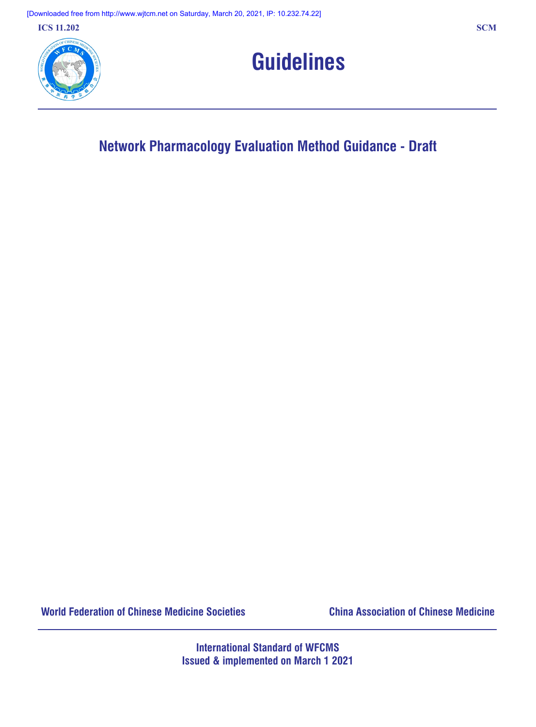**ICS 11.202 SCM**





# **Network Pharmacology Evaluation Method Guidance ‑ Draft**

**World Federation of Chinese Medicine Societies China Association of Chinese Medicine**

**International Standard of WFCMS Issued & implemented on March 1 2021**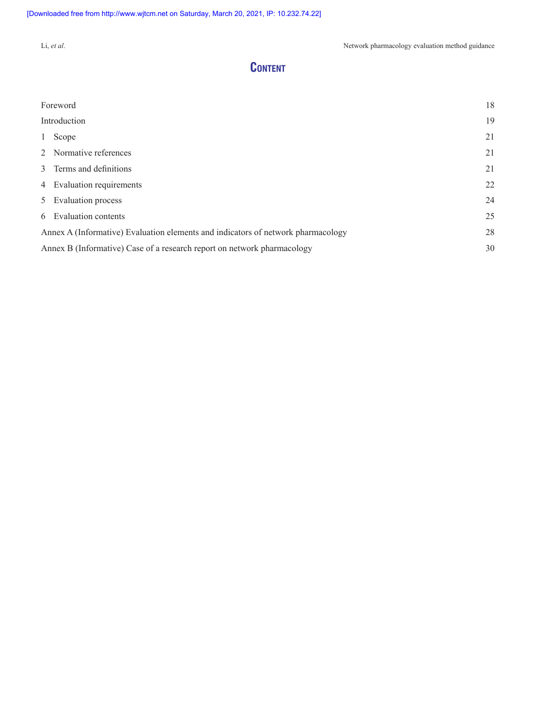# **Content**

| Foreword                                                                         | 18 |  |
|----------------------------------------------------------------------------------|----|--|
| Introduction                                                                     | 19 |  |
| 1 Scope                                                                          | 21 |  |
| 2 Normative references                                                           | 21 |  |
| 3 Terms and definitions                                                          | 21 |  |
| 4 Evaluation requirements                                                        | 22 |  |
| 5 Evaluation process                                                             | 24 |  |
| 6 Evaluation contents                                                            | 25 |  |
| Annex A (Informative) Evaluation elements and indicators of network pharmacology | 28 |  |
| 30<br>Annex B (Informative) Case of a research report on network pharmacology    |    |  |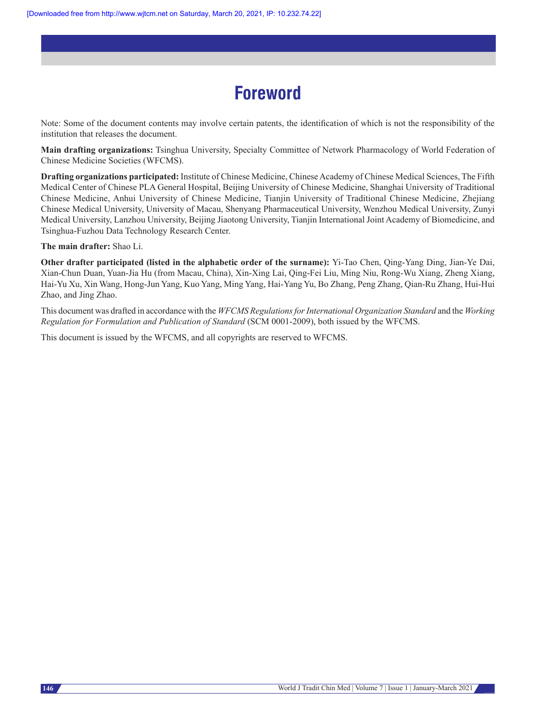# **Foreword**

Note: Some of the document contents may involve certain patents, the identification of which is not the responsibility of the institution that releases the document.

**Main drafting organizations:** Tsinghua University, Specialty Committee of Network Pharmacology of World Federation of Chinese Medicine Societies (WFCMS).

**Drafting organizations participated:** Institute of Chinese Medicine, Chinese Academy of Chinese Medical Sciences, The Fifth Medical Center of Chinese PLA General Hospital, Beijing University of Chinese Medicine, Shanghai University of Traditional Chinese Medicine, Anhui University of Chinese Medicine, Tianjin University of Traditional Chinese Medicine, Zhejiang Chinese Medical University, University of Macau, Shenyang Pharmaceutical University, Wenzhou Medical University, Zunyi Medical University, Lanzhou University, Beijing Jiaotong University, Tianjin International Joint Academy of Biomedicine, and Tsinghua-Fuzhou Data Technology Research Center.

**The main drafter:** Shao Li.

**Other drafter participated (listed in the alphabetic order of the surname):** Yi-Tao Chen, Qing-Yang Ding, Jian-Ye Dai, Xian-Chun Duan, Yuan-Jia Hu (from Macau, China), Xin-Xing Lai, Qing-Fei Liu, Ming Niu, Rong-Wu Xiang, Zheng Xiang, Hai-Yu Xu, Xin Wang, Hong-Jun Yang, Kuo Yang, Ming Yang, Hai-Yang Yu, Bo Zhang, Peng Zhang, Qian-Ru Zhang, Hui-Hui Zhao, and Jing Zhao.

This document was drafted in accordance with the *WFCMS RegulationsforInternational Organization Standard* and the *Working Regulation for Formulation and Publication of Standard* (SCM 0001‑2009), both issued by the WFCMS.

This document is issued by the WFCMS, and all copyrights are reserved to WFCMS.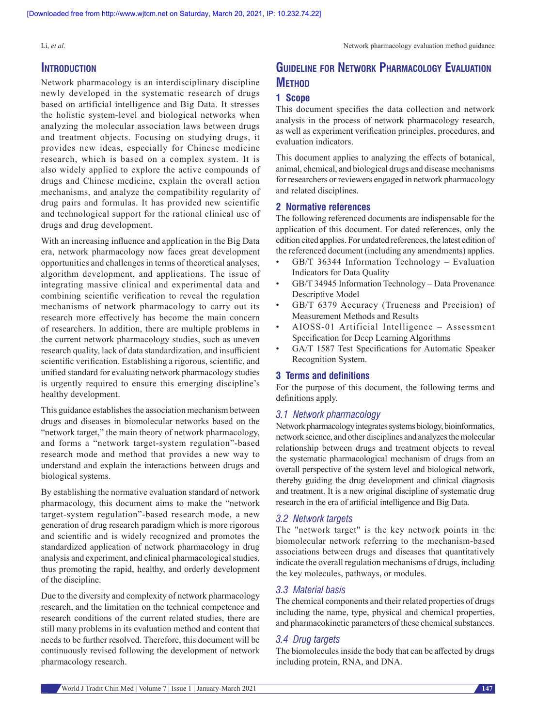### **INTRODUCTION**

Network pharmacology is an interdisciplinary discipline newly developed in the systematic research of drugs based on artificial intelligence and Big Data. It stresses the holistic system‑level and biological networks when analyzing the molecular association laws between drugs and treatment objects. Focusing on studying drugs, it provides new ideas, especially for Chinese medicine research, which is based on a complex system. It is also widely applied to explore the active compounds of drugs and Chinese medicine, explain the overall action mechanisms, and analyze the compatibility regularity of drug pairs and formulas. It has provided new scientific and technological support for the rational clinical use of drugs and drug development.

With an increasing influence and application in the Big Data era, network pharmacology now faces great development opportunities and challenges in terms of theoretical analyses, algorithm development, and applications. The issue of integrating massive clinical and experimental data and combining scientific verification to reveal the regulation mechanisms of network pharmacology to carry out its research more effectively has become the main concern of researchers. In addition, there are multiple problems in the current network pharmacology studies, such as uneven research quality, lack of data standardization, and insufficient scientific verification. Establishing a rigorous, scientific, and unified standard for evaluating network pharmacology studies is urgently required to ensure this emerging discipline's healthy development.

This guidance establishes the association mechanism between drugs and diseases in biomolecular networks based on the "network target," the main theory of network pharmacology, and forms a "network target‑system regulation"‑based research mode and method that provides a new way to understand and explain the interactions between drugs and biological systems.

By establishing the normative evaluation standard of network pharmacology, this document aims to make the "network target-system regulation"-based research mode, a new generation of drug research paradigm which is more rigorous and scientific and is widely recognized and promotes the standardized application of network pharmacology in drug analysis and experiment, and clinical pharmacological studies, thus promoting the rapid, healthy, and orderly development of the discipline.

Due to the diversity and complexity of network pharmacology research, and the limitation on the technical competence and research conditions of the current related studies, there are still many problems in its evaluation method and content that needs to be further resolved. Therefore, this document will be continuously revised following the development of network pharmacology research.

# **Guideline for Network Pharmacology Evaluation METHOD**

#### **1 Scope**

This document specifies the data collection and network analysis in the process of network pharmacology research, as well as experiment verification principles, procedures, and evaluation indicators.

This document applies to analyzing the effects of botanical, animal, chemical, and biological drugs and disease mechanisms for researchers or reviewers engaged in network pharmacology and related disciplines.

#### **2 Normative references**

The following referenced documents are indispensable for the application of this document. For dated references, only the edition cited applies. For undated references, the latest edition of the referenced document (including any amendments) applies.

- GB/T 36344 Information Technology Evaluation Indicators for Data Quality
- • GB/T 34945 Information Technology Data Provenance Descriptive Model
- GB/T 6379 Accuracy (Trueness and Precision) of Measurement Methods and Results
- AIOSS-01 Artificial Intelligence Assessment Specification for Deep Learning Algorithms
- GA/T 1587 Test Specifications for Automatic Speaker Recognition System.

#### **3 Terms and definitions**

For the purpose of this document, the following terms and definitions apply.

#### *3.1 Network pharmacology*

Network pharmacology integrates systems biology, bioinformatics, network science, and other disciplines and analyzes the molecular relationship between drugs and treatment objects to reveal the systematic pharmacological mechanism of drugs from an overall perspective of the system level and biological network, thereby guiding the drug development and clinical diagnosis and treatment. It is a new original discipline of systematic drug research in the era of artificial intelligence and Big Data.

#### *3.2 Network targets*

The "network target" is the key network points in the biomolecular network referring to the mechanism-based associations between drugs and diseases that quantitatively indicate the overall regulation mechanisms of drugs, including the key molecules, pathways, or modules.

#### *3.3 Material basis*

The chemical components and their related properties of drugs including the name, type, physical and chemical properties, and pharmacokinetic parameters of these chemical substances.

#### *3.4 Drug targets*

The biomolecules inside the body that can be affected by drugs including protein, RNA, and DNA.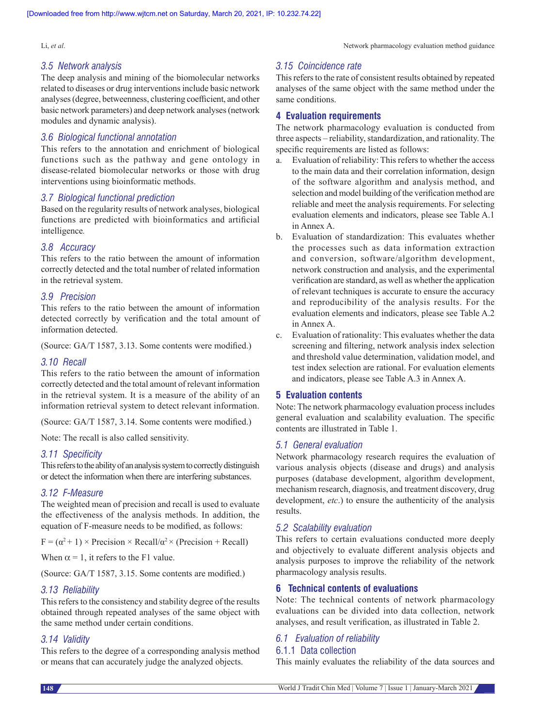#### *3.5 Network analysis*

The deep analysis and mining of the biomolecular networks related to diseases or drug interventions include basic network analyses(degree, betweenness, clustering coefficient, and other basic network parameters) and deep network analyses(network modules and dynamic analysis).

#### *3.6 Biological functional annotation*

This refers to the annotation and enrichment of biological functions such as the pathway and gene ontology in disease‑related biomolecular networks or those with drug interventions using bioinformatic methods.

#### *3.7 Biological functional prediction*

Based on the regularity results of network analyses, biological functions are predicted with bioinformatics and artificial intelligence*.*

#### *3.8 Accuracy*

This refers to the ratio between the amount of information correctly detected and the total number of related information in the retrieval system.

#### *3.9 Precision*

This refers to the ratio between the amount of information detected correctly by verification and the total amount of information detected.

(Source: GA/T 1587, 3.13. Some contents were modified.)

#### *3.10 Recall*

This refers to the ratio between the amount of information correctly detected and the total amount of relevant information in the retrieval system. It is a measure of the ability of an information retrieval system to detect relevant information.

(Source: GA/T 1587, 3.14. Some contents were modified.)

Note: The recall is also called sensitivity.

#### *3.11 Specificity*

This refers to the ability of an analysis system to correctly distinguish or detect the information when there are interfering substances.

#### *3.12 F‑Measure*

The weighted mean of precision and recall is used to evaluate the effectiveness of the analysis methods. In addition, the equation of F-measure needs to be modified, as follows:

 $F = (\alpha^2 + 1) \times \text{Precision} \times \text{Recall}/\alpha^2 \times \text{(Precision + Recall)}$ 

When  $\alpha = 1$ , it refers to the F1 value.

(Source: GA/T 1587, 3.15. Some contents are modified.)

#### *3.13 Reliability*

This refers to the consistency and stability degree of the results obtained through repeated analyses of the same object with the same method under certain conditions.

#### *3.14 Validity*

This refers to the degree of a corresponding analysis method or means that can accurately judge the analyzed objects.

#### *3.15 Coincidence rate*

This refers to the rate of consistent results obtained by repeated analyses of the same object with the same method under the same conditions.

#### **4 Evaluation requirements**

The network pharmacology evaluation is conducted from three aspects – reliability, standardization, and rationality. The specific requirements are listed as follows:

- a. Evaluation of reliability: This refers to whether the access to the main data and their correlation information, design of the software algorithm and analysis method, and selection and model building of the verification method are reliable and meet the analysis requirements. For selecting evaluation elements and indicators, please see Table A.1 in Annex A.
- b. Evaluation of standardization: This evaluates whether the processes such as data information extraction and conversion, software/algorithm development, network construction and analysis, and the experimental verification are standard, as well as whether the application of relevant techniques is accurate to ensure the accuracy and reproducibility of the analysis results. For the evaluation elements and indicators, please see Table A.2 in Annex A.
- c. Evaluation of rationality: This evaluates whether the data screening and filtering, network analysis index selection and threshold value determination, validation model, and test index selection are rational. For evaluation elements and indicators, please see Table A.3 in Annex A.

#### **5 Evaluation contents**

Note: The network pharmacology evaluation process includes general evaluation and scalability evaluation. The specific contents are illustrated in Table 1.

#### *5.1 General evaluation*

Network pharmacology research requires the evaluation of various analysis objects (disease and drugs) and analysis purposes (database development, algorithm development, mechanism research, diagnosis, and treatment discovery, drug development, *etc*.) to ensure the authenticity of the analysis results.

#### *5.2 Scalability evaluation*

This refers to certain evaluations conducted more deeply and objectively to evaluate different analysis objects and analysis purposes to improve the reliability of the network pharmacology analysis results.

#### **6 Technical contents of evaluations**

Note: The technical contents of network pharmacology evaluations can be divided into data collection, network analyses, and result verification, as illustrated in Table 2.

#### *6.1 Evaluation of reliability*

#### 6.1.1 Data collection

This mainly evaluates the reliability of the data sources and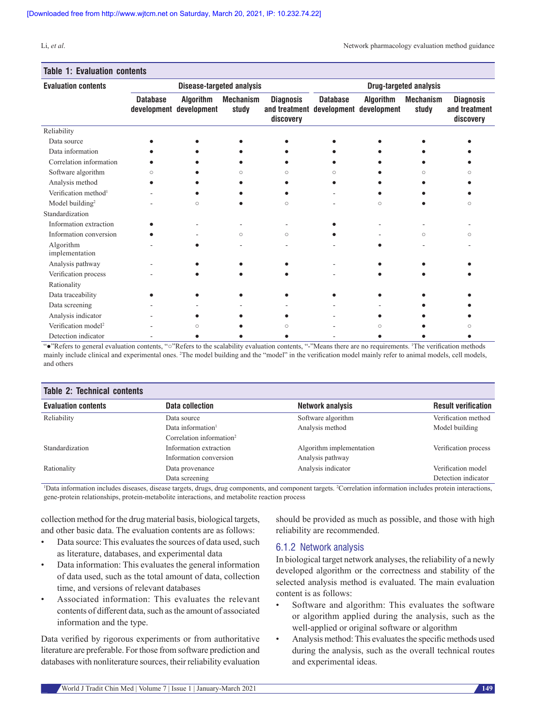#### **Table 1: Evaluation contents**

| <b>Evaluation contents</b>       | <b>Disease-targeted analysis</b> |                                             |                           |                                                                        | <b>Drug-targeted analysis</b> |                  |                           |                                                |
|----------------------------------|----------------------------------|---------------------------------------------|---------------------------|------------------------------------------------------------------------|-------------------------------|------------------|---------------------------|------------------------------------------------|
|                                  | <b>Database</b>                  | <b>Algorithm</b><br>development development | <b>Mechanism</b><br>study | <b>Diagnosis</b><br>and treatment development development<br>discovery | <b>Database</b>               | <b>Algorithm</b> | <b>Mechanism</b><br>study | <b>Diagnosis</b><br>and treatment<br>discovery |
| Reliability                      |                                  |                                             |                           |                                                                        |                               |                  |                           |                                                |
| Data source                      |                                  |                                             |                           |                                                                        |                               |                  |                           |                                                |
| Data information                 |                                  |                                             |                           |                                                                        |                               |                  |                           |                                                |
| Correlation information          |                                  |                                             |                           |                                                                        |                               |                  |                           |                                                |
| Software algorithm               | Ò                                |                                             |                           |                                                                        |                               |                  |                           |                                                |
| Analysis method                  |                                  |                                             |                           |                                                                        |                               |                  |                           |                                                |
| Verification method <sup>1</sup> |                                  |                                             |                           |                                                                        |                               |                  |                           |                                                |
| Model building <sup>2</sup>      |                                  | $\bigcirc$                                  |                           | $\circ$                                                                |                               | $\bigcirc$       |                           | Ω                                              |
| Standardization                  |                                  |                                             |                           |                                                                        |                               |                  |                           |                                                |
| Information extraction           |                                  |                                             |                           |                                                                        |                               |                  |                           |                                                |
| Information conversion           |                                  |                                             | $\circ$                   | $\circ$                                                                |                               |                  | $\circ$                   | ∩                                              |
| Algorithm<br>implementation      |                                  |                                             |                           |                                                                        |                               |                  |                           |                                                |
| Analysis pathway                 |                                  |                                             |                           |                                                                        |                               |                  |                           |                                                |
| Verification process             |                                  |                                             |                           |                                                                        |                               |                  |                           |                                                |
| Rationality                      |                                  |                                             |                           |                                                                        |                               |                  |                           |                                                |
| Data traceability                |                                  |                                             |                           |                                                                        |                               |                  |                           |                                                |
| Data screening                   |                                  |                                             |                           |                                                                        |                               |                  |                           |                                                |
| Analysis indicator               |                                  |                                             |                           |                                                                        |                               |                  |                           |                                                |
| Verification model <sup>2</sup>  |                                  | ∩                                           |                           |                                                                        |                               | Ω                |                           |                                                |
| Detection indicator              |                                  |                                             |                           |                                                                        |                               |                  |                           |                                                |

"●"Refers to general evaluation contents, "○"Refers to the scalability evaluation contents, "‑"Means there are no requirements. <sup>1</sup> The verification methods mainly include clinical and experimental ones. <sup>2</sup>The model building and the "model" in the verification model mainly refer to animal models, cell models, and others

| <b>Table 2: Technical contents</b> |                                      |                          |                            |  |
|------------------------------------|--------------------------------------|--------------------------|----------------------------|--|
| <b>Evaluation contents</b>         | Data collection                      | Network analysis         | <b>Result verification</b> |  |
| Reliability                        | Data source                          | Software algorithm       | Verification method        |  |
|                                    | Data information <sup>1</sup>        | Analysis method          | Model building             |  |
|                                    | Correlation information <sup>2</sup> |                          |                            |  |
| Standardization                    | Information extraction               | Algorithm implementation | Verification process       |  |
|                                    | Information conversion               | Analysis pathway         |                            |  |
| Rationality                        | Data provenance                      | Analysis indicator       | Verification model         |  |
|                                    | Data screening                       |                          | Detection indicator        |  |

<sup>1</sup>Data information includes diseases, disease targets, drugs, drug components, and component targets. <sup>2</sup>Correlation information includes protein interactions, gene‑protein relationships, protein‑metabolite interactions, and metabolite reaction process

collection method forthe drug material basis, biological targets, and other basic data. The evaluation contents are as follows:

- Data source: This evaluates the sources of data used, such as literature, databases, and experimental data
- • Data information: This evaluates the general information of data used, such as the total amount of data, collection time, and versions of relevant databases
- Associated information: This evaluates the relevant contents of different data, such as the amount of associated information and the type.

Data verified by rigorous experiments or from authoritative literature are preferable. For those from software prediction and databases with nonliterature sources, their reliability evaluation

should be provided as much as possible, and those with high reliability are recommended.

#### 6.1.2 Network analysis

In biological target network analyses, the reliability of a newly developed algorithm or the correctness and stability of the selected analysis method is evaluated. The main evaluation content is as follows:

- Software and algorithm: This evaluates the software or algorithm applied during the analysis, such as the well-applied or original software or algorithm
- Analysis method: This evaluates the specific methods used during the analysis, such as the overall technical routes and experimental ideas.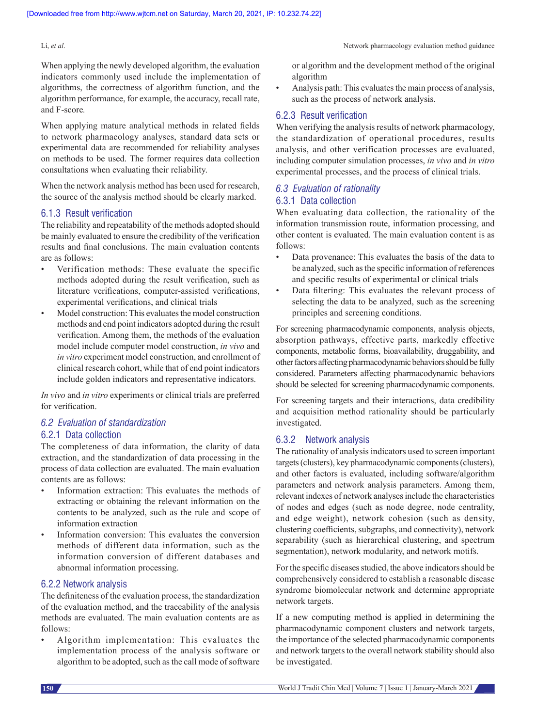When applying the newly developed algorithm, the evaluation indicators commonly used include the implementation of algorithms, the correctness of algorithm function, and the algorithm performance, for example, the accuracy, recall rate, and F-score*.*

When applying mature analytical methods in related fields to network pharmacology analyses, standard data sets or experimental data are recommended for reliability analyses on methods to be used. The former requires data collection consultations when evaluating their reliability.

When the network analysis method has been used for research, the source of the analysis method should be clearly marked.

#### 6.1.3 Result verification

The reliability and repeatability of the methods adopted should be mainly evaluated to ensure the credibility of the verification results and final conclusions. The main evaluation contents are as follows:

- Verification methods: These evaluate the specific methods adopted during the result verification, such as literature verifications, computer‑assisted verifications, experimental verifications, and clinical trials
- Model construction: This evaluates the model construction methods and end point indicators adopted during the result verification. Among them, the methods of the evaluation model include computer model construction, *in vivo* and *in vitro* experiment model construction, and enrollment of clinical research cohort, while that of end point indicators include golden indicators and representative indicators.

*In vivo* and *in vitro* experiments or clinical trials are preferred for verification.

#### *6.2 Evaluation of standardization*

#### 6.2.1 Data collection

The completeness of data information, the clarity of data extraction, and the standardization of data processing in the process of data collection are evaluated. The main evaluation contents are as follows:

- Information extraction: This evaluates the methods of extracting or obtaining the relevant information on the contents to be analyzed, such as the rule and scope of information extraction
- Information conversion: This evaluates the conversion methods of different data information, such as the information conversion of different databases and abnormal information processing.

#### 6.2.2 Network analysis

The definiteness of the evaluation process, the standardization of the evaluation method, and the traceability of the analysis methods are evaluated. The main evaluation contents are as follows:

Algorithm implementation: This evaluates the implementation process of the analysis software or algorithm to be adopted, such as the call mode of software or algorithm and the development method of the original algorithm

Analysis path: This evaluates the main process of analysis, such as the process of network analysis.

#### 6.2.3 Result verification

When verifying the analysis results of network pharmacology, the standardization of operational procedures, results analysis, and other verification processes are evaluated, including computer simulation processes, *in vivo* and *in vitro*  experimental processes, and the process of clinical trials.

### *6.3 Evaluation of rationality* 6.3.1 Data collection

When evaluating data collection, the rationality of the information transmission route, information processing, and other content is evaluated. The main evaluation content is as follows:

- Data provenance: This evaluates the basis of the data to be analyzed, such as the specific information of references and specific results of experimental or clinical trials
- Data filtering: This evaluates the relevant process of selecting the data to be analyzed, such as the screening principles and screening conditions.

For screening pharmacodynamic components, analysis objects, absorption pathways, effective parts, markedly effective components, metabolic forms, bioavailability, druggability, and other factors affecting pharmacodynamic behaviors should be fully considered. Parameters affecting pharmacodynamic behaviors should be selected for screening pharmacodynamic components.

For screening targets and their interactions, data credibility and acquisition method rationality should be particularly investigated.

#### 6.3.2 Network analysis

The rationality of analysis indicators used to screen important targets(clusters), key pharmacodynamic components(clusters), and other factors is evaluated, including software/algorithm parameters and network analysis parameters. Among them, relevant indexes of network analyses include the characteristics of nodes and edges (such as node degree, node centrality, and edge weight), network cohesion (such as density, clustering coefficients, subgraphs, and connectivity), network separability (such as hierarchical clustering, and spectrum segmentation), network modularity, and network motifs.

For the specific diseases studied, the above indicators should be comprehensively considered to establish a reasonable disease syndrome biomolecular network and determine appropriate network targets.

If a new computing method is applied in determining the pharmacodynamic component clusters and network targets, the importance of the selected pharmacodynamic components and network targets to the overall network stability should also be investigated.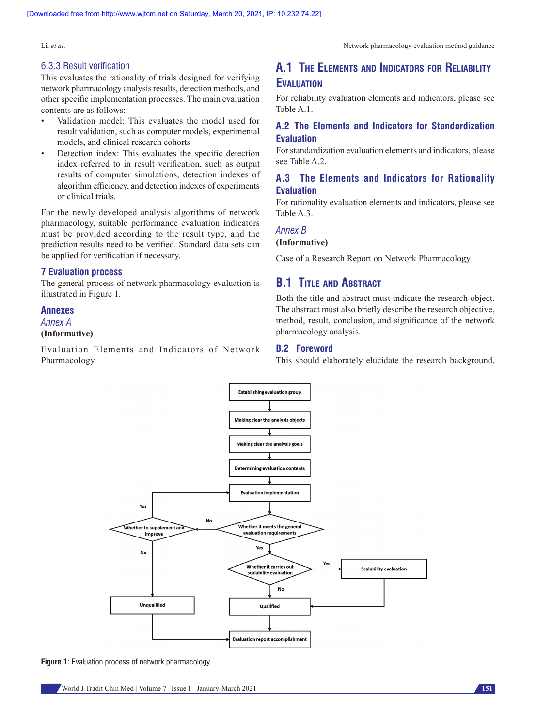This evaluates the rationality of trials designed for verifying network pharmacology analysis results, detection methods, and other specific implementation processes. The main evaluation contents are as follows:

- Validation model: This evaluates the model used for result validation, such as computer models, experimental models, and clinical research cohorts
- Detection index: This evaluates the specific detection index referred to in result verification, such as output results of computer simulations, detection indexes of algorithm efficiency, and detection indexes of experiments or clinical trials.

For the newly developed analysis algorithms of network pharmacology, suitable performance evaluation indicators must be provided according to the result type, and the prediction results need to be verified. Standard data sets can be applied for verification if necessary.

#### **7 Evaluation process**

The general process of network pharmacology evaluation is illustrated in Figure 1.

#### **Annexes**

#### *Annex A*

#### **(Informative)**

Evaluation Elements and Indicators of Network Pharmacology

# **A.1 The Elements and Indicators for Reliability Evaluation**

For reliability evaluation elements and indicators, please see Table A.1.

### **A.2 The Elements and Indicators for Standardization Evaluation**

For standardization evaluation elements and indicators, please see Table A.2.

#### **A.3 The Elements and Indicators for Rationality Evaluation**

For rationality evaluation elements and indicators, please see Table A.3.

#### *Annex B*

#### **(Informative)**

Case of a Research Report on Network Pharmacology

## **B.1 Title and Abstract**

Both the title and abstract must indicate the research object. The abstract must also briefly describe the research objective, method, result, conclusion, and significance of the network pharmacology analysis.

#### **B.2 Foreword**

This should elaborately elucidate the research background,



**Figure 1:** Evaluation process of network pharmacology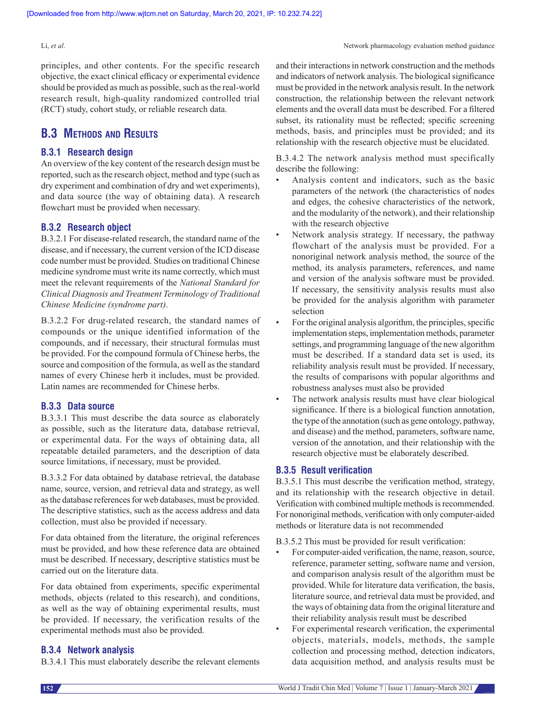principles, and other contents. For the specific research objective, the exact clinical efficacy or experimental evidence should be provided as much as possible, such as the real-world research result, high-quality randomized controlled trial (RCT) study, cohort study, or reliable research data.

# **B.3 Methods and Results**

#### **B.3.1 Research design**

An overview of the key content of the research design must be reported, such as the research object, method and type (such as dry experiment and combination of dry and wet experiments), and data source (the way of obtaining data). A research flowchart must be provided when necessary.

#### **B.3.2 Research object**

B.3.2.1 For disease-related research, the standard name of the disease, and if necessary, the current version of the ICD disease code number must be provided. Studies on traditional Chinese medicine syndrome must write its name correctly, which must meet the relevant requirements of the *National Standard for Clinical Diagnosis and Treatment Terminology of Traditional Chinese Medicine (syndrome part)*.

B.3.2.2 For drug-related research, the standard names of compounds or the unique identified information of the compounds, and if necessary, their structural formulas must be provided. For the compound formula of Chinese herbs, the source and composition of the formula, as well as the standard names of every Chinese herb it includes, must be provided. Latin names are recommended for Chinese herbs.

#### **B.3.3 Data source**

B.3.3.1 This must describe the data source as elaborately as possible, such as the literature data, database retrieval, or experimental data. For the ways of obtaining data, all repeatable detailed parameters, and the description of data source limitations, if necessary, must be provided.

B.3.3.2 For data obtained by database retrieval, the database name, source, version, and retrieval data and strategy, as well as the database references for web databases, must be provided. The descriptive statistics, such as the access address and data collection, must also be provided if necessary.

For data obtained from the literature, the original references must be provided, and how these reference data are obtained must be described. If necessary, descriptive statistics must be carried out on the literature data.

For data obtained from experiments, specific experimental methods, objects (related to this research), and conditions, as well as the way of obtaining experimental results, must be provided. If necessary, the verification results of the experimental methods must also be provided.

#### **B.3.4 Network analysis**

B.3.4.1 This must elaborately describe the relevant elements

and their interactions in network construction and the methods and indicators of network analysis. The biological significance must be provided in the network analysis result. In the network construction, the relationship between the relevant network elements and the overall data must be described. For a filtered subset, its rationality must be reflected; specific screening methods, basis, and principles must be provided; and its relationship with the research objective must be elucidated.

B.3.4.2 The network analysis method must specifically describe the following:

- Analysis content and indicators, such as the basic parameters of the network (the characteristics of nodes and edges, the cohesive characteristics of the network, and the modularity of the network), and their relationship with the research objective
- Network analysis strategy. If necessary, the pathway flowchart of the analysis must be provided. For a nonoriginal network analysis method, the source of the method, its analysis parameters, references, and name and version of the analysis software must be provided. If necessary, the sensitivity analysis results must also be provided for the analysis algorithm with parameter selection
- For the original analysis algorithm, the principles, specific implementation steps, implementation methods, parameter settings, and programming language of the new algorithm must be described. If a standard data set is used, its reliability analysis result must be provided. If necessary, the results of comparisons with popular algorithms and robustness analyses must also be provided
- The network analysis results must have clear biological significance. If there is a biological function annotation, the type of the annotation (such as gene ontology, pathway, and disease) and the method, parameters, software name, version of the annotation, and their relationship with the research objective must be elaborately described.

#### **B.3.5 Result verification**

B.3.5.1 This must describe the verification method, strategy, and its relationship with the research objective in detail. Verification with combined multiple methods is recommended. For nonoriginal methods, verification with only computer-aided methods or literature data is not recommended

B.3.5.2 This must be provided for result verification:

- For computer-aided verification, the name, reason, source, reference, parameter setting, software name and version, and comparison analysis result of the algorithm must be provided. While for literature data verification, the basis, literature source, and retrieval data must be provided, and the ways of obtaining data from the original literature and their reliability analysis result must be described
- For experimental research verification, the experimental objects, materials, models, methods, the sample collection and processing method, detection indicators, data acquisition method, and analysis results must be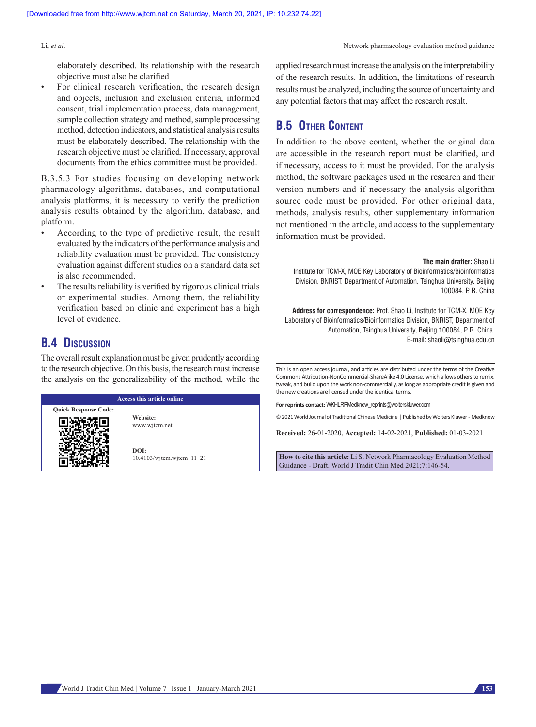elaborately described. Its relationship with the research objective must also be clarified

For clinical research verification, the research design and objects, inclusion and exclusion criteria, informed consent, trial implementation process, data management, sample collection strategy and method, sample processing method, detection indicators, and statistical analysis results must be elaborately described. The relationship with the research objective must be clarified. If necessary, approval documents from the ethics committee must be provided.

B.3.5.3 For studies focusing on developing network pharmacology algorithms, databases, and computational analysis platforms, it is necessary to verify the prediction analysis results obtained by the algorithm, database, and platform.

- According to the type of predictive result, the result evaluated by the indicators ofthe performance analysis and reliability evaluation must be provided. The consistency evaluation against different studies on a standard data set is also recommended.
- The results reliability is verified by rigorous clinical trials or experimental studies. Among them, the reliability verification based on clinic and experiment has a high level of evidence.

## **B.4 Discussion**

The overall result explanation must be given prudently according to the research objective. On this basis, the research must increase the analysis on the generalizability of the method, while the

| <b>Access this article online</b> |                                   |  |  |
|-----------------------------------|-----------------------------------|--|--|
| <b>Quick Response Code:</b>       | Website:<br>www.wjtcm.net         |  |  |
|                                   | DOI:<br>10.4103/witcm.witcm 11 21 |  |  |

applied research must increase the analysis on the interpretability of the research results. In addition, the limitations of research results must be analyzed, including the source of uncertainty and any potential factors that may affect the research result.

# **B.5 OTHER CONTENT**

In addition to the above content, whether the original data are accessible in the research report must be clarified, and if necessary, access to it must be provided. For the analysis method, the software packages used in the research and their version numbers and if necessary the analysis algorithm source code must be provided. For other original data, methods, analysis results, other supplementary information not mentioned in the article, and access to the supplementary information must be provided.

**The main drafter:** Shao Li

Institute for TCM-X, MOE Key Laboratory of Bioinformatics/Bioinformatics Division, BNRIST, Department of Automation, Tsinghua University, Beijing 100084, P. R. China

**Address for correspondence:** Prof. Shao Li, Institute for TCM-X, MOE Key Laboratory of Bioinformatics/Bioinformatics Division, BNRIST, Department of Automation, Tsinghua University, Beijing 100084, P. R. China. E-mail: shaoli@tsinghua.edu.cn

This is an open access journal, and articles are distributed under the terms of the Creative Commons Attribution‑NonCommercial‑ShareAlike 4.0 License, which allows others to remix, tweak, and build upon the work non‑commercially, as long as appropriate credit is given and the new creations are licensed under the identical terms.

**For reprints contact:** WKHLRPMedknow\_reprints@wolterskluwer.com

© 2021 World Journal of Traditional Chinese Medicine | Published by Wolters Kluwer ‑ Medknow

**Received:** 26-01-2020, **Accepted:** 14-02-2021, **Published:** 01-03-2021

**How to cite this article:** Li S. Network Pharmacology Evaluation Method Guidance - Draft. World J Tradit Chin Med 2021;7:146-54.